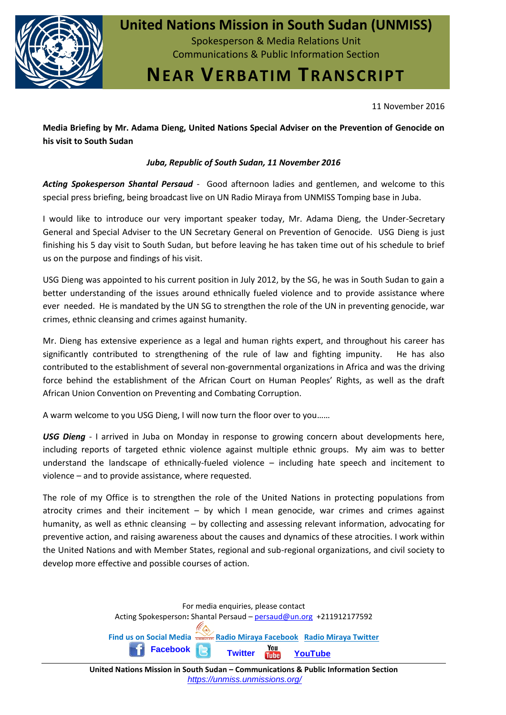

## **United Nations Mission in South Sudan (UNMISS)**

Spokesperson & Media Relations Unit Communications & Public Information Section

# **NEAR VERBATIM TRANSCRIPT**

11 November 2016

**Media Briefing by Mr. Adama Dieng, United Nations Special Adviser on the Prevention of Genocide on his visit to South Sudan**

### *Juba, Republic of South Sudan, 11 November 2016*

*Acting Spokesperson Shantal Persaud* - Good afternoon ladies and gentlemen, and welcome to this special press briefing, being broadcast live on UN Radio Miraya from UNMISS Tomping base in Juba.

I would like to introduce our very important speaker today, Mr. Adama Dieng, the Under-Secretary General and Special Adviser to the UN Secretary General on Prevention of Genocide. USG Dieng is just finishing his 5 day visit to South Sudan, but before leaving he has taken time out of his schedule to brief us on the purpose and findings of his visit.

USG Dieng was appointed to his current position in July 2012, by the SG, he was in South Sudan to gain a better understanding of the issues around ethnically fueled violence and to provide assistance where ever needed. He is mandated by the UN SG to strengthen the role of the UN in preventing genocide, war crimes, ethnic cleansing and crimes against humanity.

Mr. Dieng has extensive experience as a legal and human rights expert, and throughout his career has significantly contributed to strengthening of the rule of law and fighting impunity. He has also contributed to the establishment of several non-governmental organizations in Africa and was the driving force behind the establishment of the African Court on Human Peoples' Rights, as well as the draft African Union Convention on Preventing and Combating Corruption.

A warm welcome to you USG Dieng, I will now turn the floor over to you……

*USG Dieng* - I arrived in Juba on Monday in response to growing concern about developments here, including reports of targeted ethnic violence against multiple ethnic groups. My aim was to better understand the landscape of ethnically-fueled violence – including hate speech and incitement to violence – and to provide assistance, where requested.

The role of my Office is to strengthen the role of the United Nations in protecting populations from atrocity crimes and their incitement – by which I mean genocide, war crimes and crimes against humanity, as well as ethnic cleansing – by collecting and assessing relevant information, advocating for preventive action, and raising awareness about the causes and dynamics of these atrocities. I work within the United Nations and with Member States, regional and sub-regional organizations, and civil society to develop more effective and possible courses of action.

> For media enquiries, please contact Acting Spokesperson**:** Shantal Persaud – [persaud@un.org](mailto:persaud@un.org) +211912177592 **Find [us on](http://on.fb.me/1a3q1RC) Social Media [Radio Miraya Facebook](http://www.facebook.com/radiomiraya) [Radio Miraya Twitter](http://www.twitter.com/radiomiraya) [Facebook](http://on.fb.me/1a3q1RC) [Twitter](https://twitter.com/unmissmedia) [YouTube](http://www.youtube.com/user/UNMISSTV1/)**

**United Nations Mission in South Sudan – Communications & Public Information Section** *https://unmiss.unmissions.org/*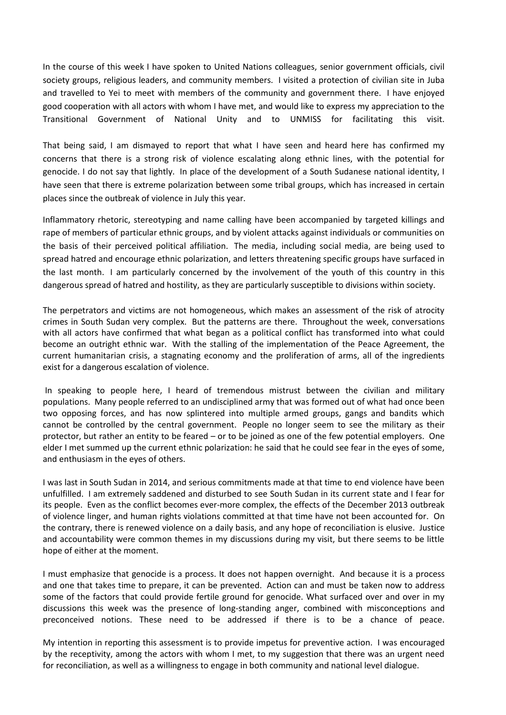In the course of this week I have spoken to United Nations colleagues, senior government officials, civil society groups, religious leaders, and community members. I visited a protection of civilian site in Juba and travelled to Yei to meet with members of the community and government there. I have enjoyed good cooperation with all actors with whom I have met, and would like to express my appreciation to the Transitional Government of National Unity and to UNMISS for facilitating this visit.

That being said, I am dismayed to report that what I have seen and heard here has confirmed my concerns that there is a strong risk of violence escalating along ethnic lines, with the potential for genocide. I do not say that lightly. In place of the development of a South Sudanese national identity, I have seen that there is extreme polarization between some tribal groups, which has increased in certain places since the outbreak of violence in July this year.

Inflammatory rhetoric, stereotyping and name calling have been accompanied by targeted killings and rape of members of particular ethnic groups, and by violent attacks against individuals or communities on the basis of their perceived political affiliation. The media, including social media, are being used to spread hatred and encourage ethnic polarization, and letters threatening specific groups have surfaced in the last month. I am particularly concerned by the involvement of the youth of this country in this dangerous spread of hatred and hostility, as they are particularly susceptible to divisions within society.

The perpetrators and victims are not homogeneous, which makes an assessment of the risk of atrocity crimes in South Sudan very complex. But the patterns are there. Throughout the week, conversations with all actors have confirmed that what began as a political conflict has transformed into what could become an outright ethnic war. With the stalling of the implementation of the Peace Agreement, the current humanitarian crisis, a stagnating economy and the proliferation of arms, all of the ingredients exist for a dangerous escalation of violence.

In speaking to people here, I heard of tremendous mistrust between the civilian and military populations. Many people referred to an undisciplined army that was formed out of what had once been two opposing forces, and has now splintered into multiple armed groups, gangs and bandits which cannot be controlled by the central government. People no longer seem to see the military as their protector, but rather an entity to be feared – or to be joined as one of the few potential employers. One elder I met summed up the current ethnic polarization: he said that he could see fear in the eyes of some, and enthusiasm in the eyes of others.

I was last in South Sudan in 2014, and serious commitments made at that time to end violence have been unfulfilled. I am extremely saddened and disturbed to see South Sudan in its current state and I fear for its people. Even as the conflict becomes ever-more complex, the effects of the December 2013 outbreak of violence linger, and human rights violations committed at that time have not been accounted for. On the contrary, there is renewed violence on a daily basis, and any hope of reconciliation is elusive. Justice and accountability were common themes in my discussions during my visit, but there seems to be little hope of either at the moment.

I must emphasize that genocide is a process. It does not happen overnight. And because it is a process and one that takes time to prepare, it can be prevented. Action can and must be taken now to address some of the factors that could provide fertile ground for genocide. What surfaced over and over in my discussions this week was the presence of long-standing anger, combined with misconceptions and preconceived notions. These need to be addressed if there is to be a chance of peace.

My intention in reporting this assessment is to provide impetus for preventive action. I was encouraged by the receptivity, among the actors with whom I met, to my suggestion that there was an urgent need for reconciliation, as well as a willingness to engage in both community and national level dialogue.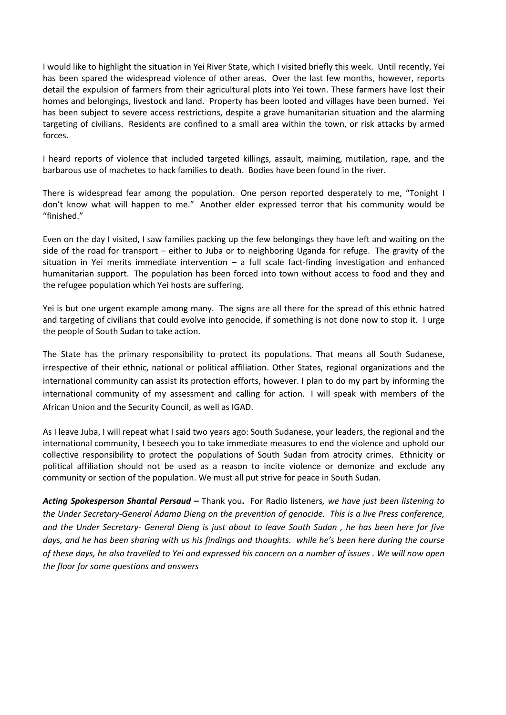I would like to highlight the situation in Yei River State, which I visited briefly this week. Until recently, Yei has been spared the widespread violence of other areas. Over the last few months, however, reports detail the expulsion of farmers from their agricultural plots into Yei town. These farmers have lost their homes and belongings, livestock and land. Property has been looted and villages have been burned. Yei has been subject to severe access restrictions, despite a grave humanitarian situation and the alarming targeting of civilians. Residents are confined to a small area within the town, or risk attacks by armed forces.

I heard reports of violence that included targeted killings, assault, maiming, mutilation, rape, and the barbarous use of machetes to hack families to death. Bodies have been found in the river.

There is widespread fear among the population. One person reported desperately to me, "Tonight I don't know what will happen to me." Another elder expressed terror that his community would be "finished."

Even on the day I visited, I saw families packing up the few belongings they have left and waiting on the side of the road for transport – either to Juba or to neighboring Uganda for refuge. The gravity of the situation in Yei merits immediate intervention – a full scale fact-finding investigation and enhanced humanitarian support. The population has been forced into town without access to food and they and the refugee population which Yei hosts are suffering.

Yei is but one urgent example among many. The signs are all there for the spread of this ethnic hatred and targeting of civilians that could evolve into genocide, if something is not done now to stop it. I urge the people of South Sudan to take action.

The State has the primary responsibility to protect its populations. That means all South Sudanese, irrespective of their ethnic, national or political affiliation. Other States, regional organizations and the international community can assist its protection efforts, however. I plan to do my part by informing the international community of my assessment and calling for action. I will speak with members of the African Union and the Security Council, as well as IGAD.

As I leave Juba, I will repeat what I said two years ago: South Sudanese, your leaders, the regional and the international community, I beseech you to take immediate measures to end the violence and uphold our collective responsibility to protect the populations of South Sudan from atrocity crimes. Ethnicity or political affiliation should not be used as a reason to incite violence or demonize and exclude any community or section of the population. We must all put strive for peace in South Sudan.

*Acting Spokesperson Shantal Persaud –* Thank you**.** For Radio listeners*, we have just been listening to the Under Secretary-General Adama Dieng on the prevention of genocide. This is a live Press conference, and the Under Secretary- General Dieng is just about to leave South Sudan , he has been here for five days, and he has been sharing with us his findings and thoughts. while he's been here during the course of these days, he also travelled to Yei and expressed his concern on a number of issues . We will now open the floor for some questions and answers*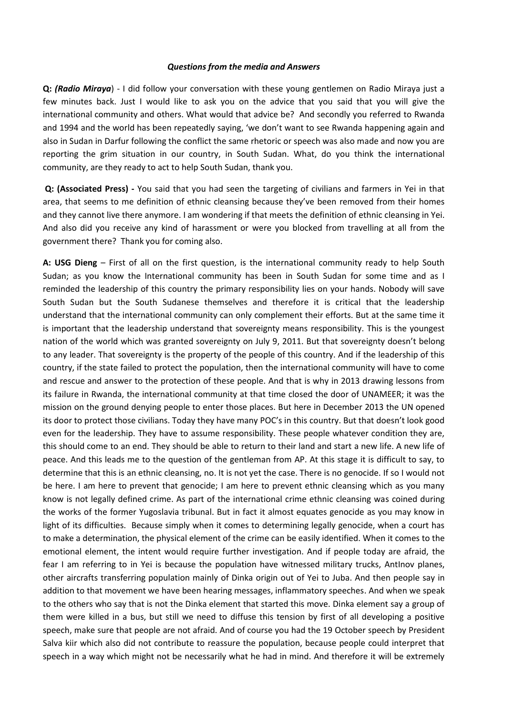#### *Questions from the media and Answers*

**Q:** *(Radio Miraya*) - I did follow your conversation with these young gentlemen on Radio Miraya just a few minutes back. Just I would like to ask you on the advice that you said that you will give the international community and others. What would that advice be? And secondly you referred to Rwanda and 1994 and the world has been repeatedly saying, 'we don't want to see Rwanda happening again and also in Sudan in Darfur following the conflict the same rhetoric or speech was also made and now you are reporting the grim situation in our country, in South Sudan. What, do you think the international community, are they ready to act to help South Sudan, thank you.

**Q: (Associated Press) -** You said that you had seen the targeting of civilians and farmers in Yei in that area, that seems to me definition of ethnic cleansing because they've been removed from their homes and they cannot live there anymore. I am wondering if that meets the definition of ethnic cleansing in Yei. And also did you receive any kind of harassment or were you blocked from travelling at all from the government there? Thank you for coming also.

**A: USG Dieng** – First of all on the first question, is the international community ready to help South Sudan; as you know the International community has been in South Sudan for some time and as I reminded the leadership of this country the primary responsibility lies on your hands. Nobody will save South Sudan but the South Sudanese themselves and therefore it is critical that the leadership understand that the international community can only complement their efforts. But at the same time it is important that the leadership understand that sovereignty means responsibility. This is the youngest nation of the world which was granted sovereignty on July 9, 2011. But that sovereignty doesn't belong to any leader. That sovereignty is the property of the people of this country. And if the leadership of this country, if the state failed to protect the population, then the international community will have to come and rescue and answer to the protection of these people. And that is why in 2013 drawing lessons from its failure in Rwanda, the international community at that time closed the door of UNAMEER; it was the mission on the ground denying people to enter those places. But here in December 2013 the UN opened its door to protect those civilians. Today they have many POC's in this country. But that doesn't look good even for the leadership. They have to assume responsibility. These people whatever condition they are, this should come to an end. They should be able to return to their land and start a new life. A new life of peace. And this leads me to the question of the gentleman from AP. At this stage it is difficult to say, to determine that this is an ethnic cleansing, no. It is not yet the case. There is no genocide. If so I would not be here. I am here to prevent that genocide; I am here to prevent ethnic cleansing which as you many know is not legally defined crime. As part of the international crime ethnic cleansing was coined during the works of the former Yugoslavia tribunal. But in fact it almost equates genocide as you may know in light of its difficulties. Because simply when it comes to determining legally genocide, when a court has to make a determination, the physical element of the crime can be easily identified. When it comes to the emotional element, the intent would require further investigation. And if people today are afraid, the fear I am referring to in Yei is because the population have witnessed military trucks, AntInov planes, other aircrafts transferring population mainly of Dinka origin out of Yei to Juba. And then people say in addition to that movement we have been hearing messages, inflammatory speeches. And when we speak to the others who say that is not the Dinka element that started this move. Dinka element say a group of them were killed in a bus, but still we need to diffuse this tension by first of all developing a positive speech, make sure that people are not afraid. And of course you had the 19 October speech by President Salva kiir which also did not contribute to reassure the population, because people could interpret that speech in a way which might not be necessarily what he had in mind. And therefore it will be extremely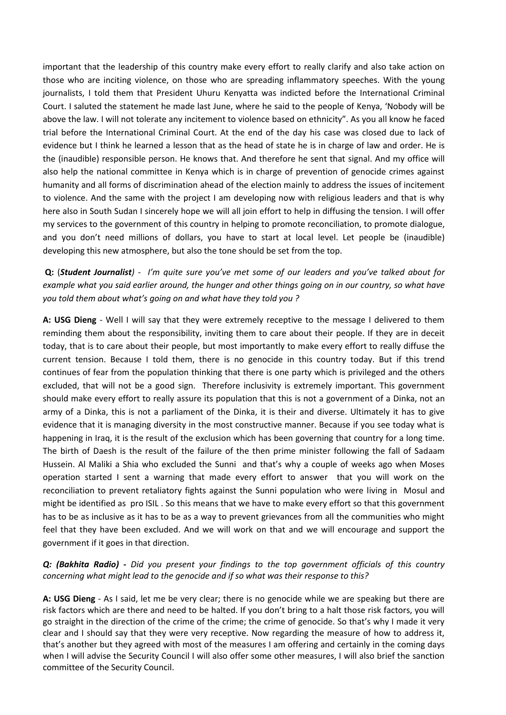important that the leadership of this country make every effort to really clarify and also take action on those who are inciting violence, on those who are spreading inflammatory speeches. With the young journalists, I told them that President Uhuru Kenyatta was indicted before the International Criminal Court. I saluted the statement he made last June, where he said to the people of Kenya, 'Nobody will be above the law. I will not tolerate any incitement to violence based on ethnicity". As you all know he faced trial before the International Criminal Court. At the end of the day his case was closed due to lack of evidence but I think he learned a lesson that as the head of state he is in charge of law and order. He is the (inaudible) responsible person. He knows that. And therefore he sent that signal. And my office will also help the national committee in Kenya which is in charge of prevention of genocide crimes against humanity and all forms of discrimination ahead of the election mainly to address the issues of incitement to violence. And the same with the project I am developing now with religious leaders and that is why here also in South Sudan I sincerely hope we will all join effort to help in diffusing the tension. I will offer my services to the government of this country in helping to promote reconciliation, to promote dialogue, and you don't need millions of dollars, you have to start at local level. Let people be (inaudible) developing this new atmosphere, but also the tone should be set from the top.

**Q:** (*Student Journalist)* - *I'm quite sure you've met some of our leaders and you've talked about for example what you said earlier around, the hunger and other things going on in our country, so what have you told them about what's going on and what have they told you ?*

**A: USG Dieng** - Well I will say that they were extremely receptive to the message I delivered to them reminding them about the responsibility, inviting them to care about their people. If they are in deceit today, that is to care about their people, but most importantly to make every effort to really diffuse the current tension. Because I told them, there is no genocide in this country today. But if this trend continues of fear from the population thinking that there is one party which is privileged and the others excluded, that will not be a good sign. Therefore inclusivity is extremely important. This government should make every effort to really assure its population that this is not a government of a Dinka, not an army of a Dinka, this is not a parliament of the Dinka, it is their and diverse. Ultimately it has to give evidence that it is managing diversity in the most constructive manner. Because if you see today what is happening in Iraq, it is the result of the exclusion which has been governing that country for a long time. The birth of Daesh is the result of the failure of the then prime minister following the fall of Sadaam Hussein. Al Maliki a Shia who excluded the Sunni and that's why a couple of weeks ago when Moses operation started I sent a warning that made every effort to answer that you will work on the reconciliation to prevent retaliatory fights against the Sunni population who were living in Mosul and might be identified as pro ISIL . So this means that we have to make every effort so that this government has to be as inclusive as it has to be as a way to prevent grievances from all the communities who might feel that they have been excluded. And we will work on that and we will encourage and support the government if it goes in that direction.

#### *Q: (Bakhita Radio)* **-** *Did you present your findings to the top government officials of this country concerning what might lead to the genocide and if so what was their response to this?*

**A: USG Dieng** - As I said, let me be very clear; there is no genocide while we are speaking but there are risk factors which are there and need to be halted. If you don't bring to a halt those risk factors, you will go straight in the direction of the crime of the crime; the crime of genocide. So that's why I made it very clear and I should say that they were very receptive. Now regarding the measure of how to address it, that's another but they agreed with most of the measures I am offering and certainly in the coming days when I will advise the Security Council I will also offer some other measures, I will also brief the sanction committee of the Security Council.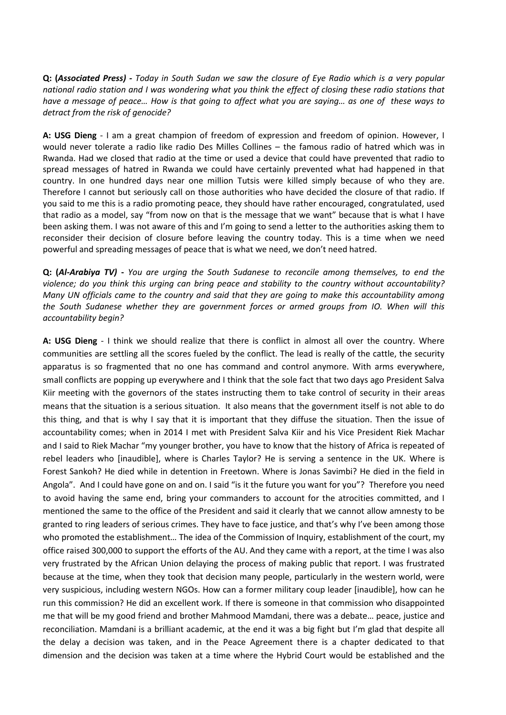**Q: (***Associated Press) - Today in South Sudan we saw the closure of Eye Radio which is a very popular national radio station and I was wondering what you think the effect of closing these radio stations that have a message of peace... How is that going to affect what you are saying... as one of these ways to detract from the risk of genocide?* 

**A: USG Dieng** - I am a great champion of freedom of expression and freedom of opinion. However, I would never tolerate a radio like radio Des Milles Collines – the famous radio of hatred which was in Rwanda. Had we closed that radio at the time or used a device that could have prevented that radio to spread messages of hatred in Rwanda we could have certainly prevented what had happened in that country. In one hundred days near one million Tutsis were killed simply because of who they are. Therefore I cannot but seriously call on those authorities who have decided the closure of that radio. If you said to me this is a radio promoting peace, they should have rather encouraged, congratulated, used that radio as a model, say "from now on that is the message that we want" because that is what I have been asking them. I was not aware of this and I'm going to send a letter to the authorities asking them to reconsider their decision of closure before leaving the country today. This is a time when we need powerful and spreading messages of peace that is what we need, we don't need hatred.

**Q: (***Al-Arabiya TV)* **-** *You are urging the South Sudanese to reconcile among themselves, to end the violence; do you think this urging can bring peace and stability to the country without accountability? Many UN officials came to the country and said that they are going to make this accountability among the South Sudanese whether they are government forces or armed groups from IO. When will this accountability begin?* 

**A: USG Dieng** - I think we should realize that there is conflict in almost all over the country. Where communities are settling all the scores fueled by the conflict. The lead is really of the cattle, the security apparatus is so fragmented that no one has command and control anymore. With arms everywhere, small conflicts are popping up everywhere and I think that the sole fact that two days ago President Salva Kiir meeting with the governors of the states instructing them to take control of security in their areas means that the situation is a serious situation. It also means that the government itself is not able to do this thing, and that is why I say that it is important that they diffuse the situation. Then the issue of accountability comes; when in 2014 I met with President Salva Kiir and his Vice President Riek Machar and I said to Riek Machar "my younger brother, you have to know that the history of Africa is repeated of rebel leaders who [inaudible], where is Charles Taylor? He is serving a sentence in the UK. Where is Forest Sankoh? He died while in detention in Freetown. Where is Jonas Savimbi? He died in the field in Angola". And I could have gone on and on. I said "is it the future you want for you"? Therefore you need to avoid having the same end, bring your commanders to account for the atrocities committed, and I mentioned the same to the office of the President and said it clearly that we cannot allow amnesty to be granted to ring leaders of serious crimes. They have to face justice, and that's why I've been among those who promoted the establishment… The idea of the Commission of Inquiry, establishment of the court, my office raised 300,000 to support the efforts of the AU. And they came with a report, at the time I was also very frustrated by the African Union delaying the process of making public that report. I was frustrated because at the time, when they took that decision many people, particularly in the western world, were very suspicious, including western NGOs. How can a former military coup leader [inaudible], how can he run this commission? He did an excellent work. If there is someone in that commission who disappointed me that will be my good friend and brother Mahmood Mamdani, there was a debate… peace, justice and reconciliation. Mamdani is a brilliant academic, at the end it was a big fight but I'm glad that despite all the delay a decision was taken, and in the Peace Agreement there is a chapter dedicated to that dimension and the decision was taken at a time where the Hybrid Court would be established and the